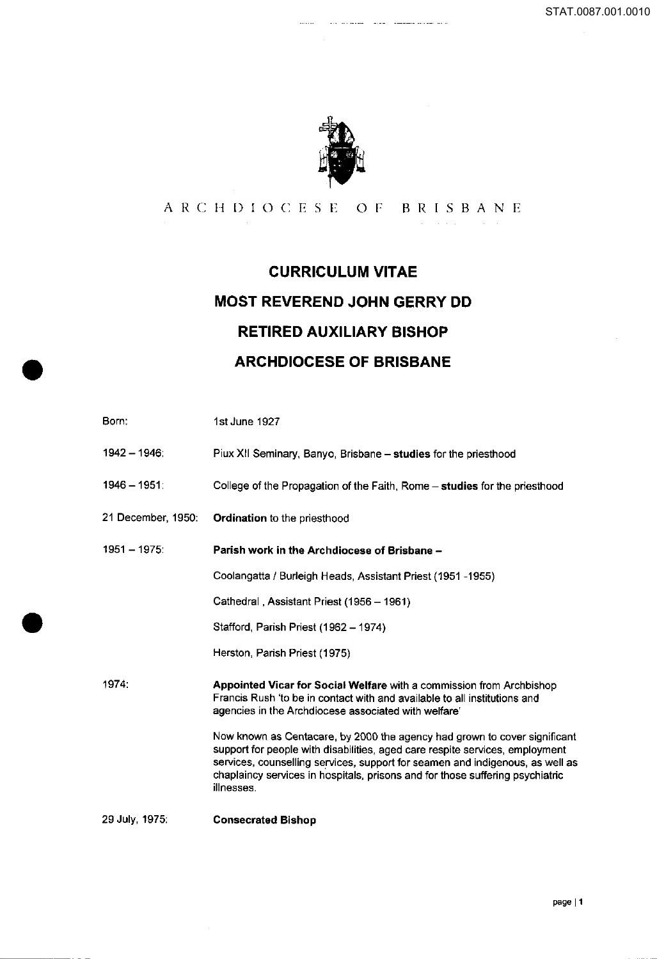

an manilla care compared and man

## ARCHDIOCESE OF BRISBANE

## **CURRICULUM VITAE MOST REVEREND JOHN GERRY DO RETIRED AUXILIARY BISHOP ARCHDIOCESE OF BRISBANE**

•

•

| Born:              | 1st June 1927                                                                                                                                                                                                                                                                                                                             |
|--------------------|-------------------------------------------------------------------------------------------------------------------------------------------------------------------------------------------------------------------------------------------------------------------------------------------------------------------------------------------|
| 1942 – 1946.       | Piux XII Seminary, Banyo, Brisbane - studies for the priesthood                                                                                                                                                                                                                                                                           |
| $1946 - 1951$      | College of the Propagation of the Faith, Rome – studies for the priesthood                                                                                                                                                                                                                                                                |
| 21 December, 1950: | Ordination to the priesthood                                                                                                                                                                                                                                                                                                              |
| $1951 - 1975$      | Parish work in the Archdiocese of Brisbane -                                                                                                                                                                                                                                                                                              |
|                    | Coolangatta / Burleigh Heads, Assistant Priest (1951-1955)                                                                                                                                                                                                                                                                                |
|                    | Cathedral, Assistant Priest (1956 - 1961)                                                                                                                                                                                                                                                                                                 |
|                    | Stafford, Parish Priest (1962 – 1974)                                                                                                                                                                                                                                                                                                     |
|                    | Herston, Parish Priest (1975)                                                                                                                                                                                                                                                                                                             |
| 1974:              | Appointed Vicar for Social Welfare with a commission from Archbishop<br>Francis Rush 'to be in contact with and available to all institutions and<br>agencies in the Archdiocese associated with welfare'                                                                                                                                 |
|                    | Now known as Centacare, by 2000 the agency had grown to cover significant<br>support for people with disabilities, aged care respite services, employment<br>services, counselling services, support for seamen and indigenous, as well as<br>chaplaincy services in hospitals, prisons and for those suffering psychiatric<br>illnesses. |
| 29 July, 1975:     | <b>Consecrated Bishop</b>                                                                                                                                                                                                                                                                                                                 |

page | 1